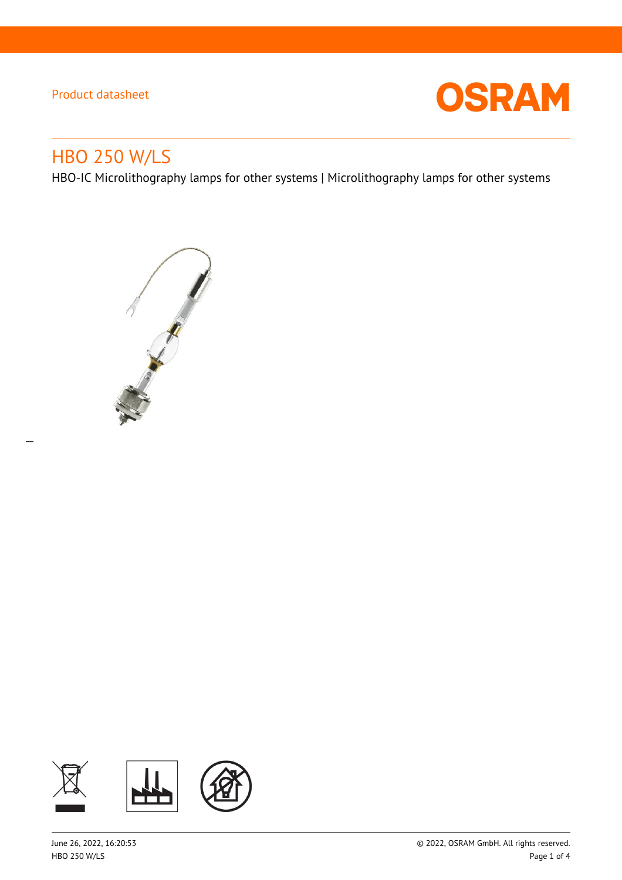

# HBO 250 W/LS

 $\overline{a}$ 

HBO-IC Microlithography lamps for other systems | Microlithography lamps for other systems



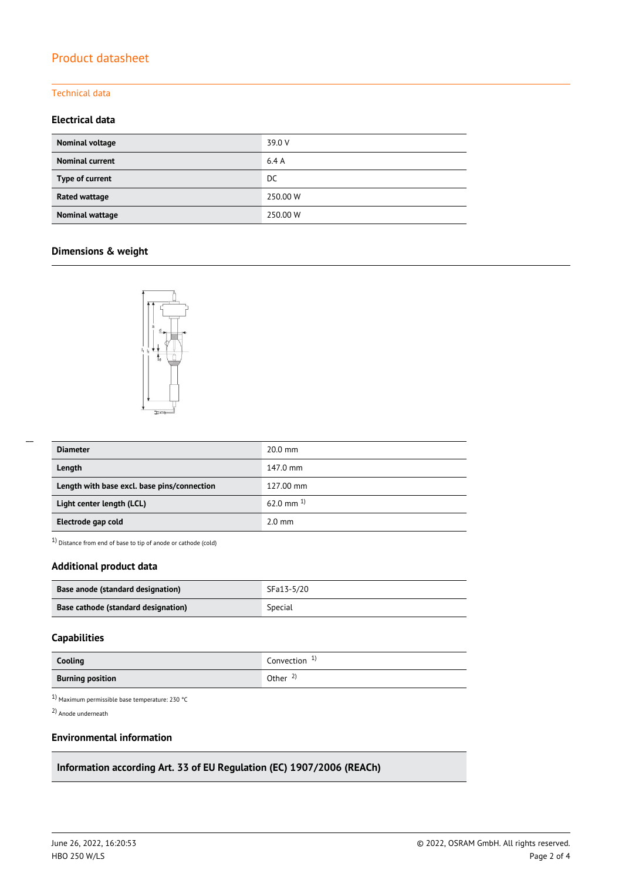#### Technical data

## **Electrical data**

| Nominal voltage        | 39.0 V   |
|------------------------|----------|
| <b>Nominal current</b> | 6.4A     |
| Type of current        | DC.      |
| Rated wattage          | 250.00 W |
| Nominal wattage        | 250.00 W |

## **Dimensions & weight**



| <b>Diameter</b>                             | $20.0$ mm        |
|---------------------------------------------|------------------|
| Length                                      | 147.0 mm         |
| Length with base excl. base pins/connection | 127.00 mm        |
| Light center length (LCL)                   | 62.0 mm $^{1}$   |
| Electrode gap cold                          | $2.0 \text{ mm}$ |

1) Distance from end of base to tip of anode or cathode (cold)

## **Additional product data**

| Base anode (standard designation)   | SFa13-5/20 |
|-------------------------------------|------------|
| Base cathode (standard designation) | Special    |

## **Capabilities**

| Cooling                 | Convection $1$      |
|-------------------------|---------------------|
| <b>Burning position</b> | Other $\frac{2}{3}$ |

1) Maximum permissible base temperature: 230 °C

2) Anode underneath

## **Environmental information**

## **Information according Art. 33 of EU Regulation (EC) 1907/2006 (REACh)**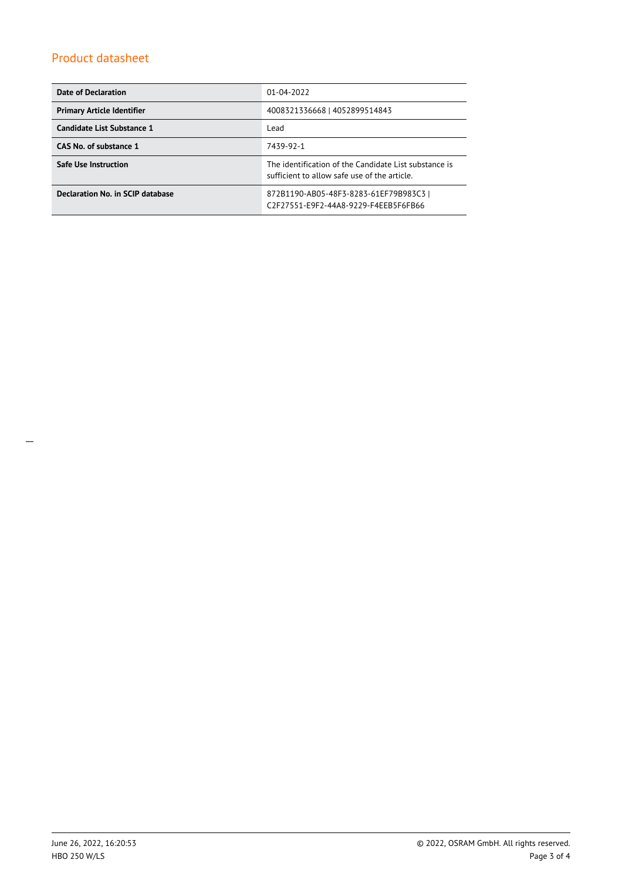| <b>Date of Declaration</b>        | $01 - 04 - 2022$                                                                                      |  |  |
|-----------------------------------|-------------------------------------------------------------------------------------------------------|--|--|
| <b>Primary Article Identifier</b> | 4008321336668   4052899514843                                                                         |  |  |
| Candidate List Substance 1        | Lead                                                                                                  |  |  |
| CAS No. of substance 1            | 7439-92-1                                                                                             |  |  |
| <b>Safe Use Instruction</b>       | The identification of the Candidate List substance is<br>sufficient to allow safe use of the article. |  |  |
| Declaration No. in SCIP database  | 872B1190-AB05-48F3-8283-61EF79B983C3  <br>C2F27551-E9F2-44A8-9229-F4EEB5F6FB66                        |  |  |